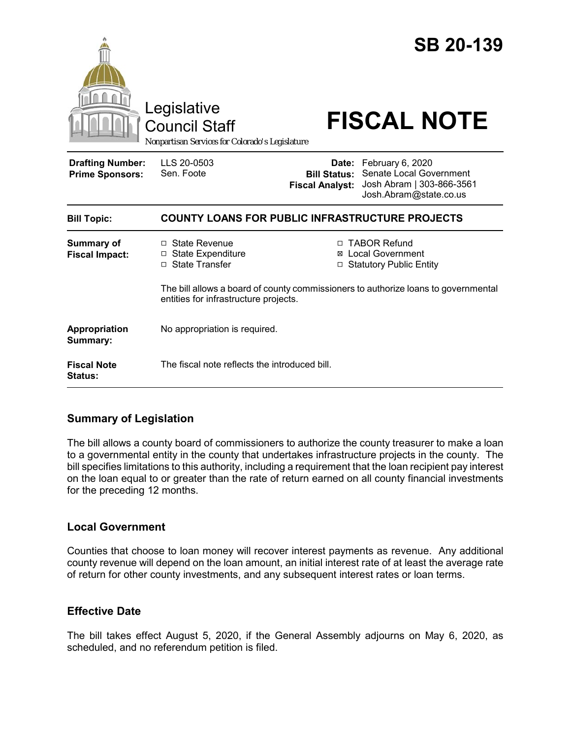|                                                   | Legislative<br><b>Council Staff</b><br>Nonpartisan Services for Colorado's Legislature                                      |                        | <b>SB 20-139</b><br><b>FISCAL NOTE</b>                                                                                       |
|---------------------------------------------------|-----------------------------------------------------------------------------------------------------------------------------|------------------------|------------------------------------------------------------------------------------------------------------------------------|
| <b>Drafting Number:</b><br><b>Prime Sponsors:</b> | LLS 20-0503<br>Sen. Foote                                                                                                   | <b>Fiscal Analyst:</b> | Date: February 6, 2020<br><b>Bill Status: Senate Local Government</b><br>Josh Abram   303-866-3561<br>Josh.Abram@state.co.us |
| <b>Bill Topic:</b>                                | <b>COUNTY LOANS FOR PUBLIC INFRASTRUCTURE PROJECTS</b>                                                                      |                        |                                                                                                                              |
| <b>Summary of</b><br><b>Fiscal Impact:</b>        | □ State Revenue<br>$\Box$ State Expenditure<br>□ State Transfer                                                             |                        | □ TABOR Refund<br>⊠ Local Government<br>□ Statutory Public Entity                                                            |
|                                                   | The bill allows a board of county commissioners to authorize loans to governmental<br>entities for infrastructure projects. |                        |                                                                                                                              |
| Appropriation<br>Summary:                         | No appropriation is required.                                                                                               |                        |                                                                                                                              |
| <b>Fiscal Note</b><br><b>Status:</b>              | The fiscal note reflects the introduced bill.                                                                               |                        |                                                                                                                              |

## **Summary of Legislation**

The bill allows a county board of commissioners to authorize the county treasurer to make a loan to a governmental entity in the county that undertakes infrastructure projects in the county. The bill specifies limitations to this authority, including a requirement that the loan recipient pay interest on the loan equal to or greater than the rate of return earned on all county financial investments for the preceding 12 months.

## **Local Government**

Counties that choose to loan money will recover interest payments as revenue. Any additional county revenue will depend on the loan amount, an initial interest rate of at least the average rate of return for other county investments, and any subsequent interest rates or loan terms.

## **Effective Date**

The bill takes effect August 5, 2020, if the General Assembly adjourns on May 6, 2020, as scheduled, and no referendum petition is filed.